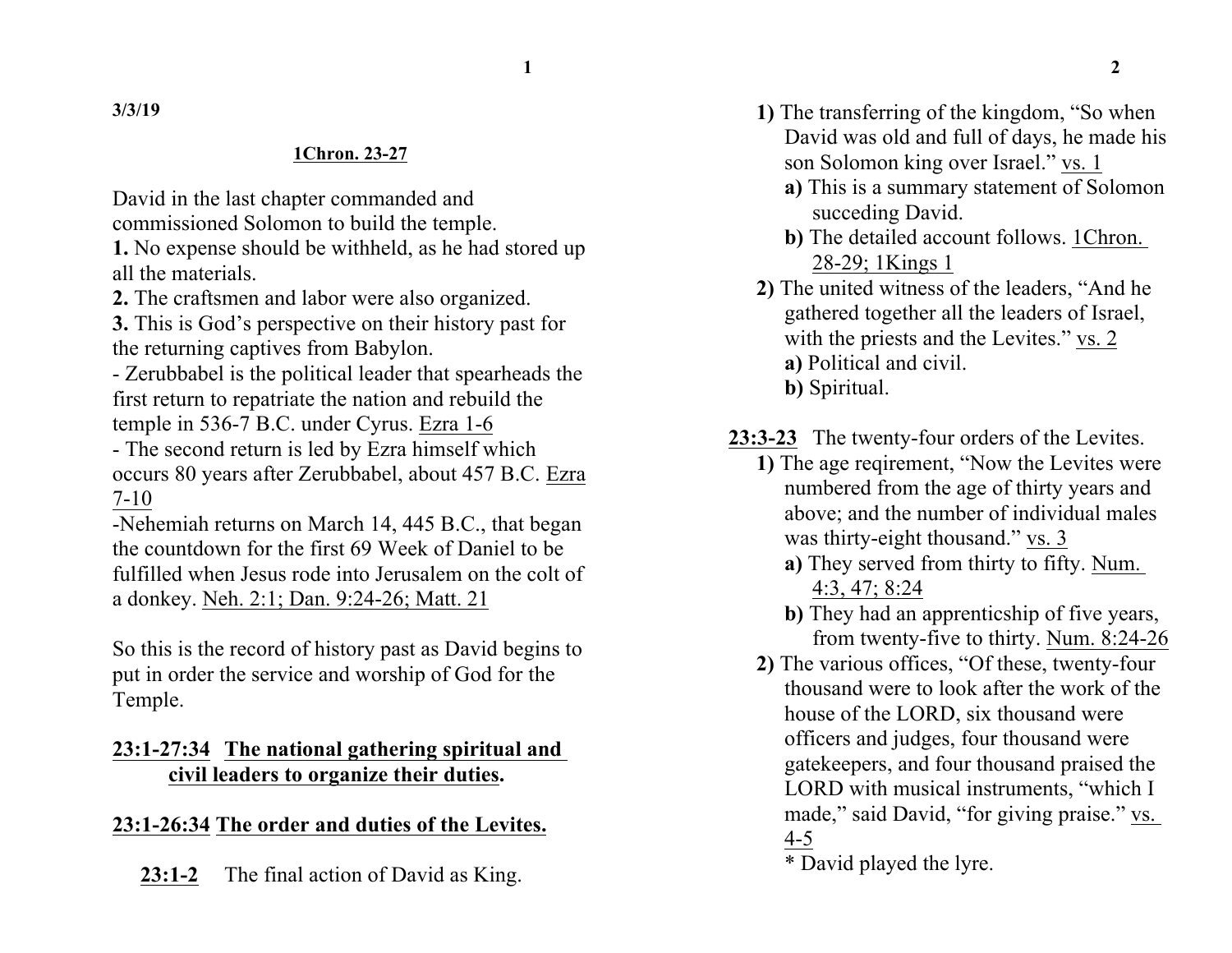**1 2**

**3/3/19**

#### **1Chron. 23-27**

David in the last chapter commanded and commissioned Solomon to build the temple.

**1.** No expense should be withheld, as he had stored up all the materials.

**2.** The craftsmen and labor were also organized.

**3.** This is God's perspective on their history past for the returning captives from Babylon.

- Zerubbabel is the political leader that spearheads the first return to repatriate the nation and rebuild the temple in 536-7 B.C. under Cyrus. Ezra 1-6

- The second return is led by Ezra himself which occurs 80 years after Zerubbabel, about 457 B.C. Ezra 7-10

-Nehemiah returns on March 14, 445 B.C., that began the countdown for the first 69 Week of Daniel to be fulfilled when Jesus rode into Jerusalem on the colt of a donkey. Neh. 2:1; Dan. 9:24-26; Matt. 21

So this is the record of history past as David begins to put in order the service and worship of God for the Temple.

# **23:1-27:34 The national gathering spiritual and civil leaders to organize their duties.**

# **23:1-26:34 The order and duties of the Levites.**

**23:1-2** The final action of David as King.

- **1)** The transferring of the kingdom, "So when David was old and full of days, he made his son Solomon king over Israel." vs. 1
	- **a)** This is a summary statement of Solomon succeding David.
	- **b)** The detailed account follows. 1Chron. 28-29; 1Kings 1
- **2)** The united witness of the leaders, "And he gathered together all the leaders of Israel, with the priests and the Levites." vs. 2 **a)** Political and civil.
	- **b)** Spiritual.
- **23:3-23** The twenty-four orders of the Levites.
	- **1)** The age reqirement, "Now the Levites were numbered from the age of thirty years and above; and the number of individual males was thirty-eight thousand." vs. 3
		- **a)** They served from thirty to fifty. Num. 4:3, 47; 8:24
		- **b)** They had an apprenticship of five years, from twenty-five to thirty. Num. 8:24-26
	- **2)** The various offices, "Of these, twenty-four thousand were to look after the work of the house of the LORD, six thousand were officers and judges, four thousand were gatekeepers, and four thousand praised the LORD with musical instruments, "which I made," said David, "for giving praise." vs. 4-5

<sup>\*</sup> David played the lyre.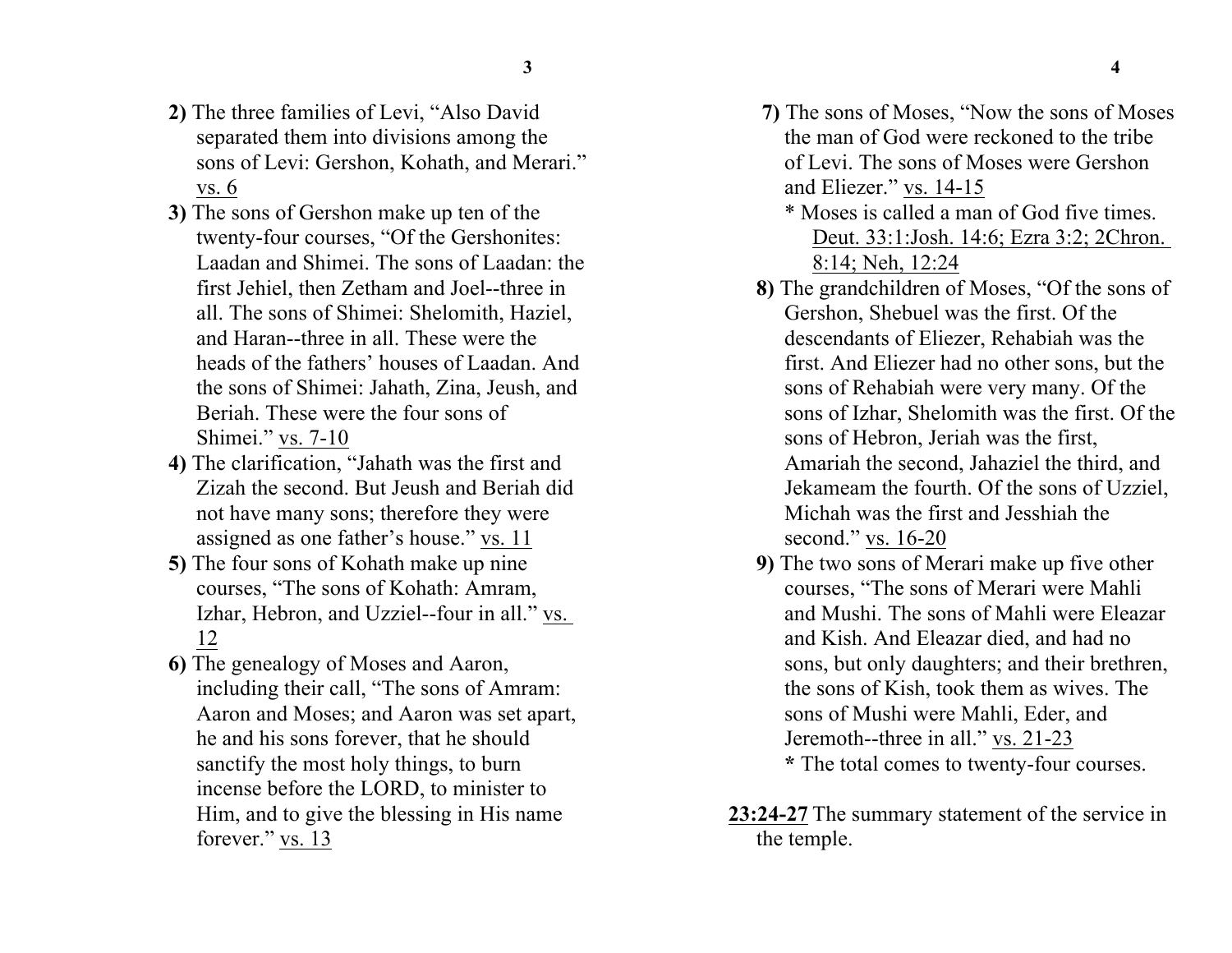- **2)** The three families of Levi, "Also David separated them into divisions among the sons of Levi: Gershon, Kohath, and Merari." vs. 6
- **3)** The sons of Gershon make up ten of the twenty-four courses, "Of the Gershonites: Laadan and Shimei. The sons of Laadan: the first Jehiel, then Zetham and Joel--three in all. The sons of Shimei: Shelomith, Haziel, and Haran--three in all. These were the heads of the fathers' houses of Laadan. And the sons of Shimei: Jahath, Zina, Jeush, and Beriah. These were the four sons of Shimei." vs. 7-10
- **4)** The clarification, "Jahath was the first and Zizah the second. But Jeush and Beriah did not have many sons; therefore they were assigned as one father's house." vs. 11
- **5)** The four sons of Kohath make up nine courses, "The sons of Kohath: Amram, Izhar, Hebron, and Uzziel--four in all." vs. 12
- **6)** The genealogy of Moses and Aaron, including their call, "The sons of Amram: Aaron and Moses; and Aaron was set apart, he and his sons forever, that he should sanctify the most holy things, to burn incense before the LORD, to minister to Him, and to give the blessing in His name forever." vs. 13
- **7)** The sons of Moses, "Now the sons of Moses the man of God were reckoned to the tribe of Levi. The sons of Moses were Gershon and Eliezer." vs. 14-15
	- \* Moses is called a man of God five times. Deut. 33:1:Josh. 14:6; Ezra 3:2; 2Chron. 8:14; Neh, 12:24
- **8)** The grandchildren of Moses, "Of the sons of Gershon, Shebuel was the first. Of the descendants of Eliezer, Rehabiah was the first. And Eliezer had no other sons, but the sons of Rehabiah were very many. Of the sons of Izhar, Shelomith was the first. Of the sons of Hebron, Jeriah was the first, Amariah the second, Jahaziel the third, and Jekameam the fourth. Of the sons of Uzziel, Michah was the first and Jesshiah the second." vs. 16-20
- **9)** The two sons of Merari make up five other courses, "The sons of Merari were Mahli and Mushi. The sons of Mahli were Eleazar and Kish. And Eleazar died, and had no sons, but only daughters; and their brethren, the sons of Kish, took them as wives. The sons of Mushi were Mahli, Eder, and Jeremoth--three in all." vs. 21-23 **\*** The total comes to twenty-four courses.
- **23:24-27** The summary statement of the service in the temple.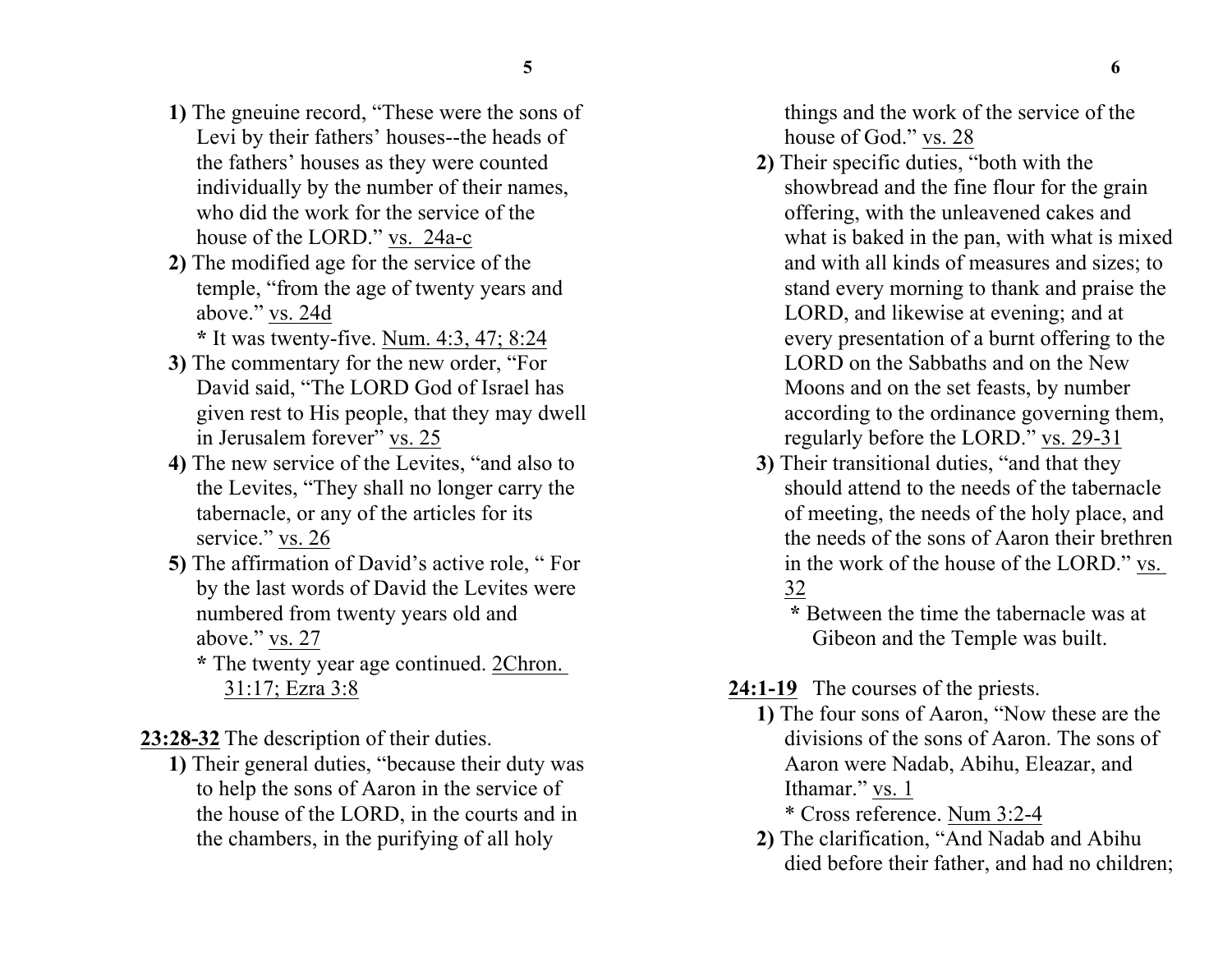- **1)** The gneuine record, "These were the sons of Levi by their fathers' houses--the heads of the fathers' houses as they were counted individually by the number of their names, who did the work for the service of the house of the LORD." vs. 24a-c
- **2)** The modified age for the service of the temple, "from the age of twenty years and above." vs. 24d
	- **\*** It was twenty-five. Num. 4:3, 47; 8:24
- **3)** The commentary for the new order, "For David said, "The LORD God of Israel has given rest to His people, that they may dwell in Jerusalem forever" vs. 25
- **4)** The new service of the Levites, "and also to the Levites, "They shall no longer carry the tabernacle, or any of the articles for its service." vs. 26
- **5)** The affirmation of David's active role, " For by the last words of David the Levites were numbered from twenty years old and above." vs. 27
	- **\*** The twenty year age continued. 2Chron. 31:17; Ezra 3:8

**23:28-32** The description of their duties.

**1)** Their general duties, "because their duty was to help the sons of Aaron in the service of the house of the LORD, in the courts and in the chambers, in the purifying of all holy

things and the work of the service of the house of God." vs. 28

- **2)** Their specific duties, "both with the showbread and the fine flour for the grain offering, with the unleavened cakes and what is baked in the pan, with what is mixed and with all kinds of measures and sizes; to stand every morning to thank and praise the LORD, and likewise at evening; and at every presentation of a burnt offering to the LORD on the Sabbaths and on the New Moons and on the set feasts, by number according to the ordinance governing them, regularly before the LORD." vs. 29-31
- **3)** Their transitional duties, "and that they should attend to the needs of the tabernacle of meeting, the needs of the holy place, and the needs of the sons of Aaron their brethren in the work of the house of the LORD." vs. 32

**\*** Between the time the tabernacle was at Gibeon and the Temple was built.

### 24:1-19 The courses of the priests.

**1)** The four sons of Aaron, "Now these are the divisions of the sons of Aaron. The sons of Aaron were Nadab, Abihu, Eleazar, and Ithamar." vs. 1

\* Cross reference. Num 3:2-4

**2)** The clarification, "And Nadab and Abihu died before their father, and had no children;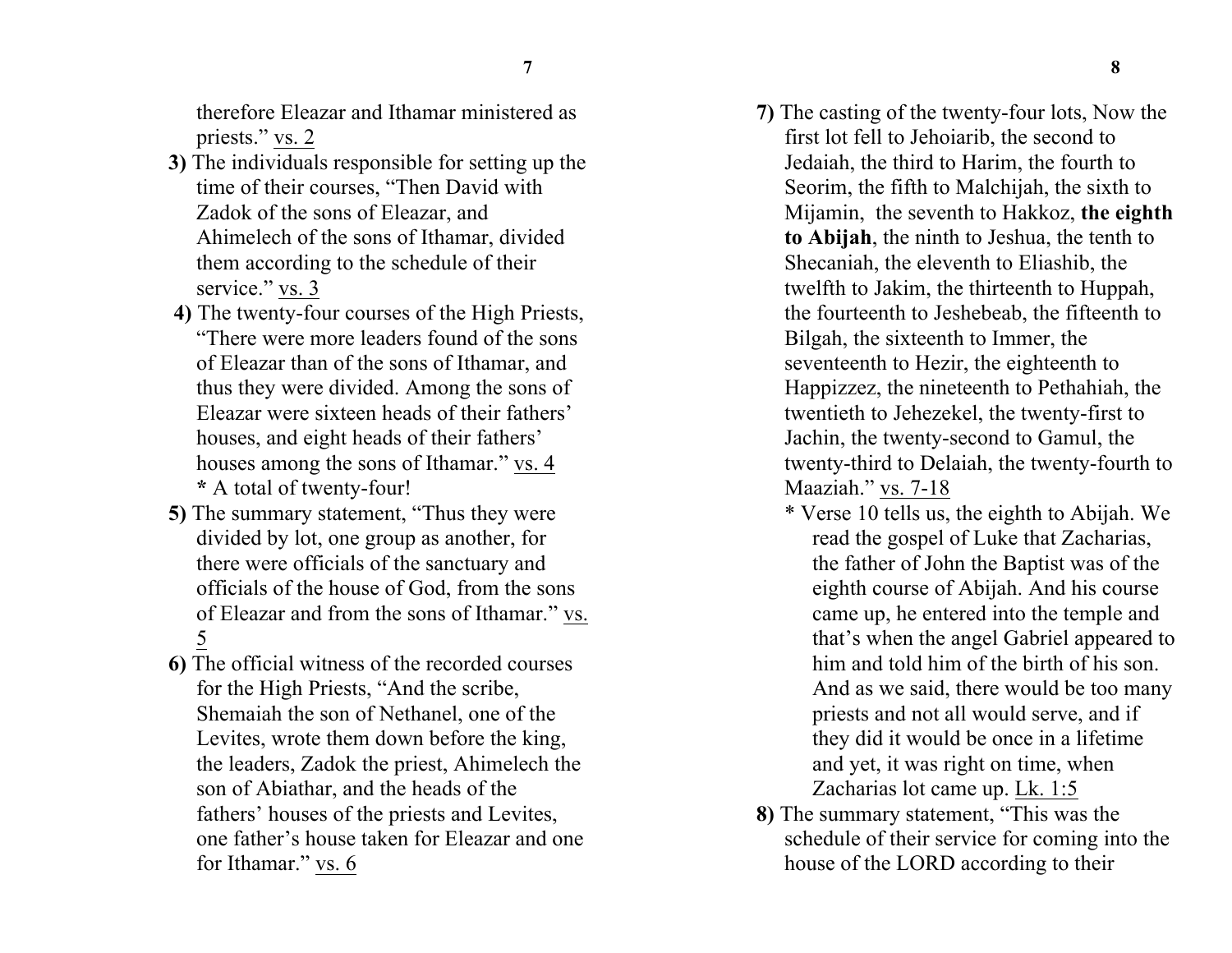therefore Eleazar and Ithamar ministered as priests." vs. 2

- **3)** The individuals responsible for setting up the time of their courses, "Then David with Zadok of the sons of Eleazar, and Ahimelech of the sons of Ithamar, divided them according to the schedule of their service." vs. 3
- **4)** The twenty-four courses of the High Priests, "There were more leaders found of the sons of Eleazar than of the sons of Ithamar, and thus they were divided. Among the sons of Eleazar were sixteen heads of their fathers' houses, and eight heads of their fathers' houses among the sons of Ithamar." vs. 4 **\*** A total of twenty-four!
- **5)** The summary statement, "Thus they were divided by lot, one group as another, for there were officials of the sanctuary and officials of the house of God, from the sons of Eleazar and from the sons of Ithamar." vs. 5
- **6)** The official witness of the recorded courses for the High Priests, "And the scribe, Shemaiah the son of Nethanel, one of the Levites, wrote them down before the king, the leaders, Zadok the priest, Ahimelech the son of Abiathar, and the heads of the fathers' houses of the priests and Levites, one father's house taken for Eleazar and one for Ithamar." vs. 6
- **7)** The casting of the twenty-four lots, Now the first lot fell to Jehoiarib, the second to Jedaiah, the third to Harim, the fourth to Seorim, the fifth to Malchijah, the sixth to Mijamin, the seventh to Hakkoz, **the eighth to Abijah**, the ninth to Jeshua, the tenth to Shecaniah, the eleventh to Eliashib, the twelfth to Jakim, the thirteenth to Huppah, the fourteenth to Jeshebeab, the fifteenth to Bilgah, the sixteenth to Immer, the seventeenth to Hezir, the eighteenth to Happizzez, the nineteenth to Pethahiah, the twentieth to Jehezekel, the twenty-first to Jachin, the twenty-second to Gamul, the twenty-third to Delaiah, the twenty-fourth to Maaziah." vs. 7-18
	- \* Verse 10 tells us, the eighth to Abijah. We read the gospel of Luke that Zacharias, the father of John the Baptist was of the eighth course of Abijah. And his course came up, he entered into the temple and that's when the angel Gabriel appeared to him and told him of the birth of his son. And as we said, there would be too many priests and not all would serve, and if they did it would be once in a lifetime and yet, it was right on time, when Zacharias lot came up. Lk. 1:5
- **8)** The summary statement, "This was the schedule of their service for coming into the house of the LORD according to their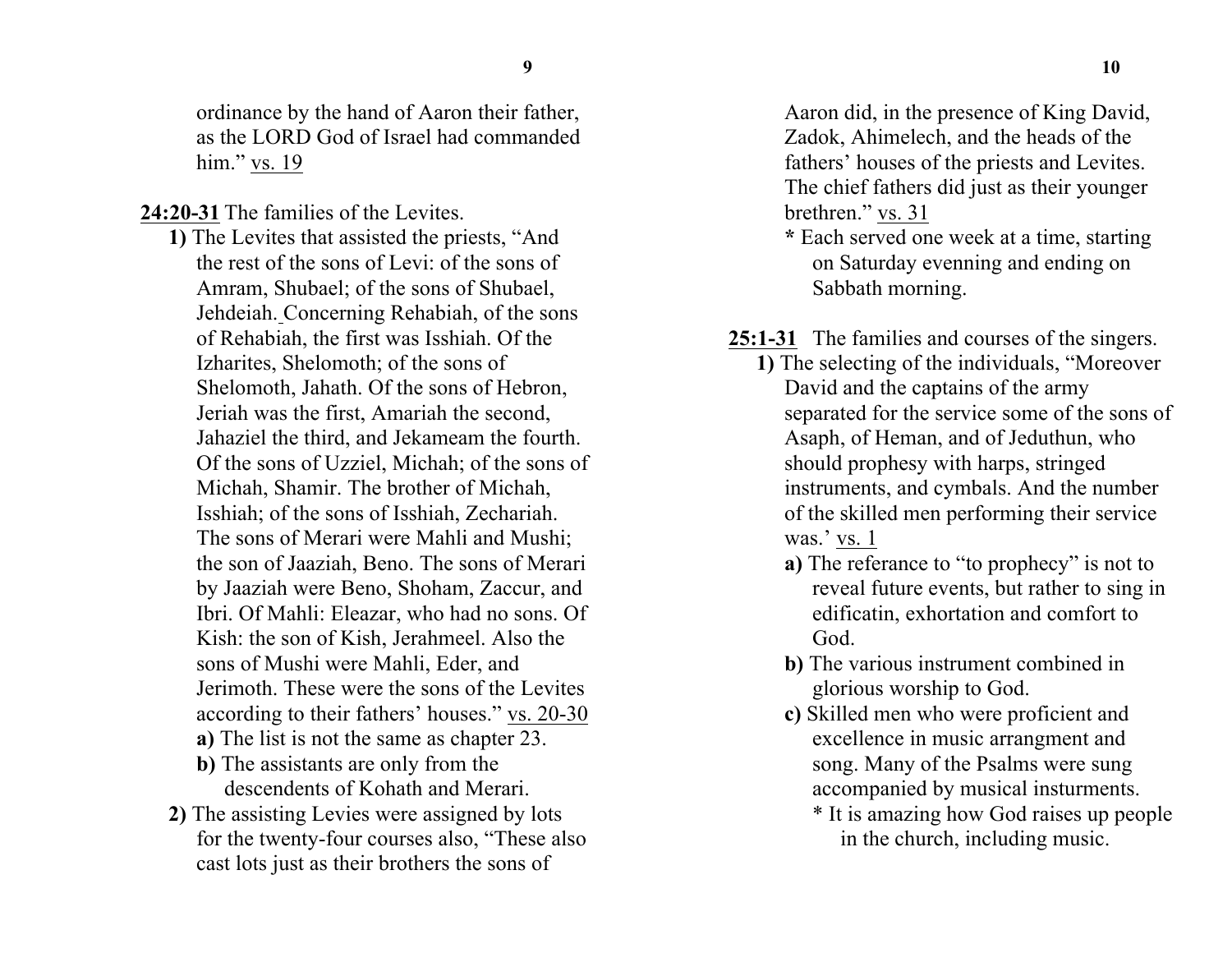ordinance by the hand of Aaron their father, as the LORD God of Israel had commanded him." vs. 19

**24:20-31** The families of the Levites.

- **1)** The Levites that assisted the priests, "And the rest of the sons of Levi: of the sons of Amram, Shubael; of the sons of Shubael, Jehdeiah. Concerning Rehabiah, of the sons of Rehabiah, the first was Isshiah. Of the Izharites, Shelomoth; of the sons of Shelomoth, Jahath. Of the sons of Hebron, Jeriah was the first, Amariah the second, Jahaziel the third, and Jekameam the fourth. Of the sons of Uzziel, Michah; of the sons of Michah, Shamir. The brother of Michah, Isshiah; of the sons of Isshiah, Zechariah. The sons of Merari were Mahli and Mushi; the son of Jaaziah, Beno. The sons of Merari by Jaaziah were Beno, Shoham, Zaccur, and Ibri. Of Mahli: Eleazar, who had no sons. Of Kish: the son of Kish, Jerahmeel. Also the sons of Mushi were Mahli, Eder, and Jerimoth. These were the sons of the Levites according to their fathers' houses." vs. 20-30 **a)** The list is not the same as chapter 23. **b)** The assistants are only from the descendents of Kohath and Merari.
- **2)** The assisting Levies were assigned by lots for the twenty-four courses also, "These also cast lots just as their brothers the sons of

Aaron did, in the presence of King David, Zadok, Ahimelech, and the heads of the fathers' houses of the priests and Levites. The chief fathers did just as their younger brethren." vs. 31

- **\*** Each served one week at a time, starting on Saturday evenning and ending on Sabbath morning.
- **25:1-31** The families and courses of the singers.
	- **1)** The selecting of the individuals, "Moreover David and the captains of the army separated for the service some of the sons of Asaph, of Heman, and of Jeduthun, who should prophesy with harps, stringed instruments, and cymbals. And the number of the skilled men performing their service was.' vs. 1
		- **a)** The referance to "to prophecy" is not to reveal future events, but rather to sing in edificatin, exhortation and comfort to God.
		- **b)** The various instrument combined in glorious worship to God.
		- **c)** Skilled men who were proficient and excellence in music arrangment and song. Many of the Psalms were sung accompanied by musical insturments.
			- \* It is amazing how God raises up people in the church, including music.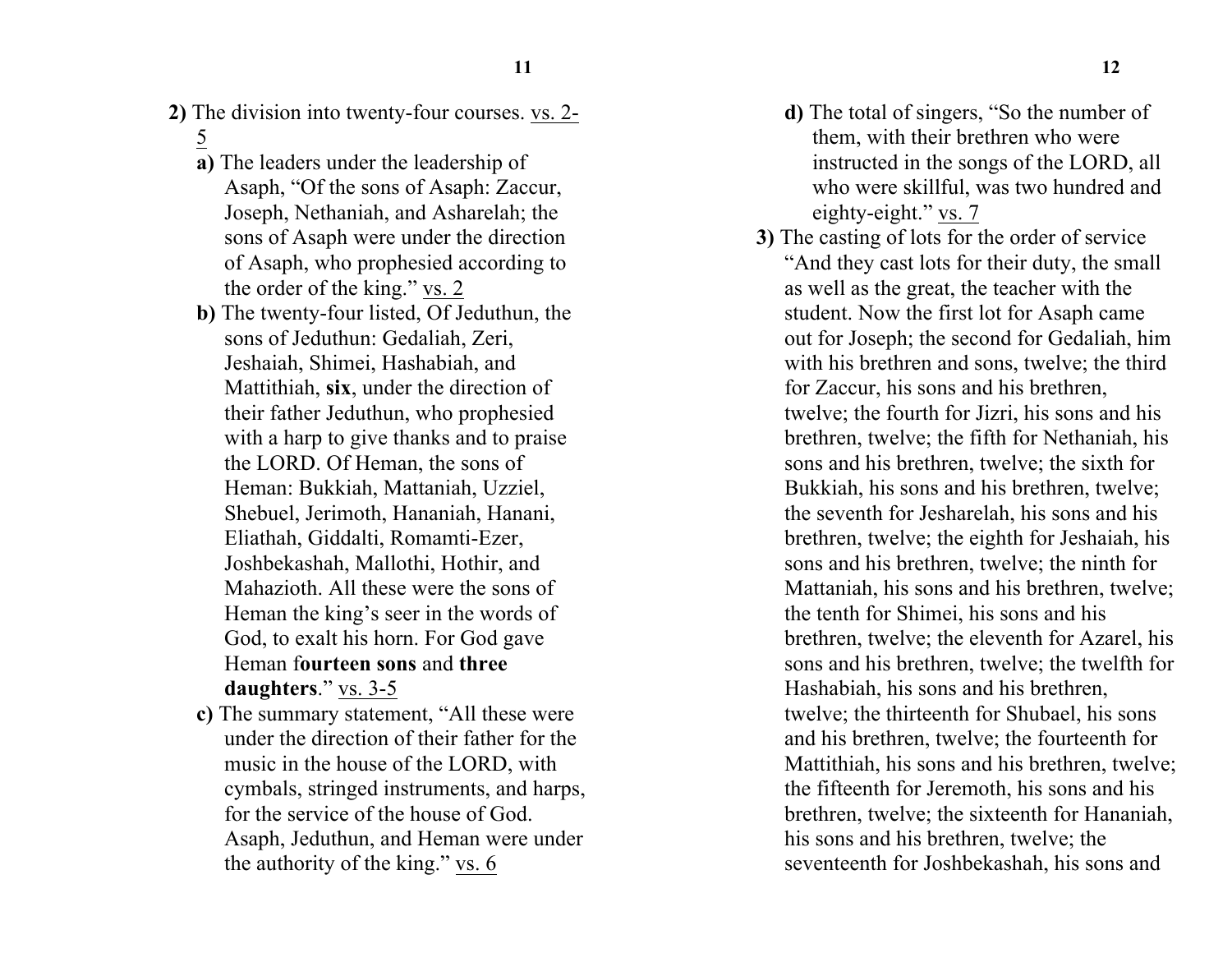- **2)** The division into twenty-four courses. vs. 2- 5
	- **a)** The leaders under the leadership of Asaph, "Of the sons of Asaph: Zaccur, Joseph, Nethaniah, and Asharelah; the sons of Asaph were under the direction of Asaph, who prophesied according to the order of the king." vs. 2
	- **b)** The twenty-four listed, Of Jeduthun, the sons of Jeduthun: Gedaliah, Zeri, Jeshaiah, Shimei, Hashabiah, and Mattithiah, **six**, under the direction of their father Jeduthun, who prophesied with a harp to give thanks and to praise the LORD. Of Heman, the sons of Heman: Bukkiah, Mattaniah, Uzziel, Shebuel, Jerimoth, Hananiah, Hanani, Eliathah, Giddalti, Romamti-Ezer, Joshbekashah, Mallothi, Hothir, and Mahazioth. All these were the sons of Heman the king's seer in the words of God, to exalt his horn. For God gave Heman f**ourteen sons** and **three daughters**." vs. 3-5
	- **c)** The summary statement, "All these were under the direction of their father for the music in the house of the LORD, with cymbals, stringed instruments, and harps, for the service of the house of God. Asaph, Jeduthun, and Heman were under the authority of the king." vs. 6
- **d)** The total of singers, "So the number of them, with their brethren who were instructed in the songs of the LORD, all who were skillful, was two hundred and eighty-eight." vs. 7
- **3)** The casting of lots for the order of service "And they cast lots for their duty, the small as well as the great, the teacher with the student. Now the first lot for Asaph came out for Joseph; the second for Gedaliah, him with his brethren and sons, twelve; the third for Zaccur, his sons and his brethren, twelve; the fourth for Jizri, his sons and his brethren, twelve; the fifth for Nethaniah, his sons and his brethren, twelve; the sixth for Bukkiah, his sons and his brethren, twelve; the seventh for Jesharelah, his sons and his brethren, twelve; the eighth for Jeshaiah, his sons and his brethren, twelve; the ninth for Mattaniah, his sons and his brethren, twelve; the tenth for Shimei, his sons and his brethren, twelve; the eleventh for Azarel, his sons and his brethren, twelve; the twelfth for Hashabiah, his sons and his brethren, twelve; the thirteenth for Shubael, his sons and his brethren, twelve; the fourteenth for Mattithiah, his sons and his brethren, twelve; the fifteenth for Jeremoth, his sons and his brethren, twelve; the sixteenth for Hananiah, his sons and his brethren, twelve; the seventeenth for Joshbekashah, his sons and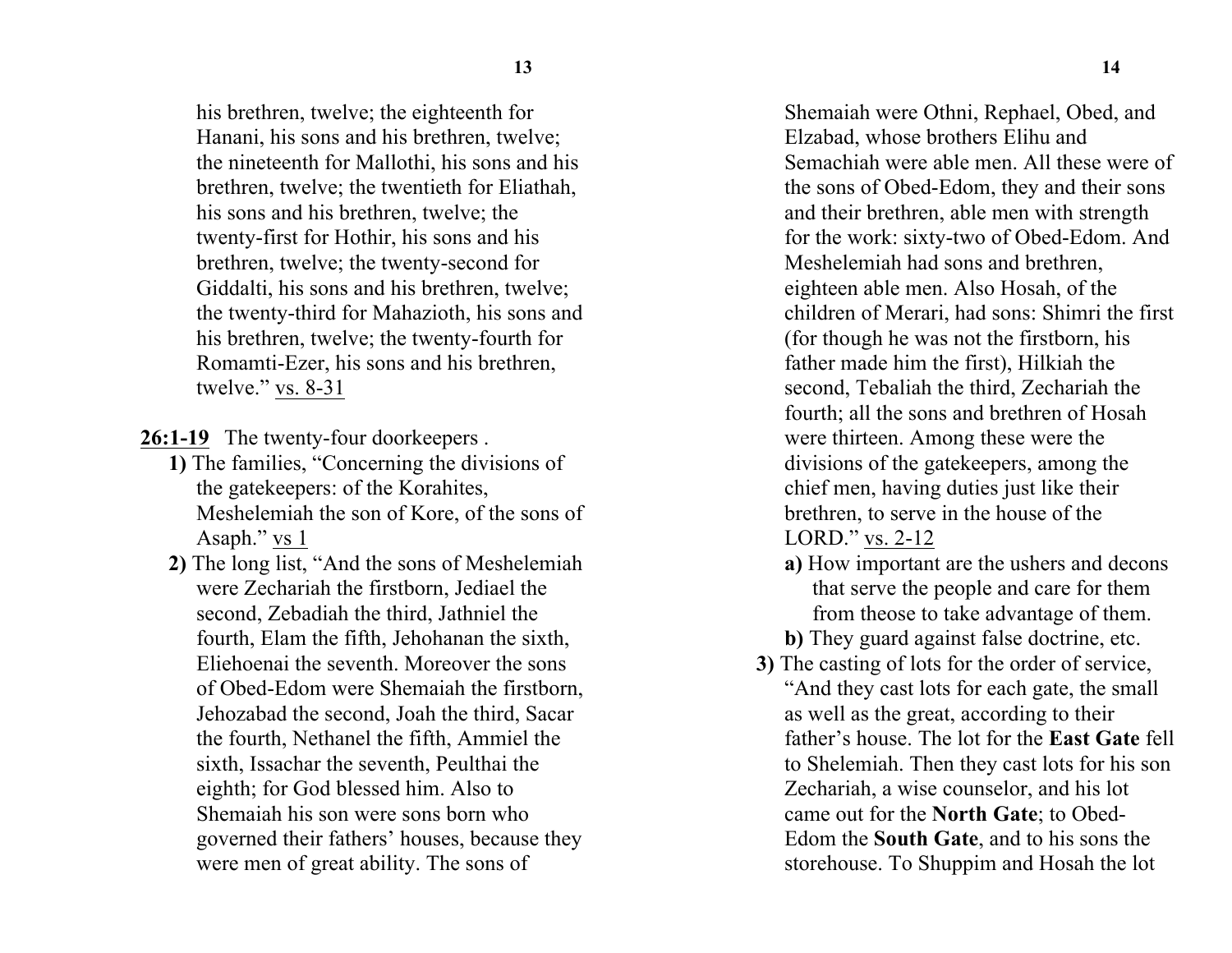his brethren, twelve; the eighteenth for Hanani, his sons and his brethren, twelve; the nineteenth for Mallothi, his sons and his brethren, twelve; the twentieth for Eliathah, his sons and his brethren, twelve; the twenty-first for Hothir, his sons and his brethren, twelve; the twenty-second for Giddalti, his sons and his brethren, twelve; the twenty-third for Mahazioth, his sons and his brethren, twelve; the twenty-fourth for Romamti-Ezer, his sons and his brethren, twelve." vs. 8-31

**26:1-19** The twenty-four doorkeepers .

- **1)** The families, "Concerning the divisions of the gatekeepers: of the Korahites, Meshelemiah the son of Kore, of the sons of Asaph." vs 1
- **2)** The long list, "And the sons of Meshelemiah were Zechariah the firstborn, Jediael the second, Zebadiah the third, Jathniel the fourth, Elam the fifth, Jehohanan the sixth, Eliehoenai the seventh. Moreover the sons of Obed-Edom were Shemaiah the firstborn, Jehozabad the second, Joah the third, Sacar the fourth, Nethanel the fifth, Ammiel the sixth, Issachar the seventh, Peulthai the eighth; for God blessed him. Also to Shemaiah his son were sons born who governed their fathers' houses, because they were men of great ability. The sons of

Shemaiah were Othni, Rephael, Obed, and Elzabad, whose brothers Elihu and Semachiah were able men. All these were of the sons of Obed-Edom, they and their sons and their brethren, able men with strength for the work: sixty-two of Obed-Edom. And Meshelemiah had sons and brethren, eighteen able men. Also Hosah, of the children of Merari, had sons: Shimri the first (for though he was not the firstborn, his father made him the first), Hilkiah the second, Tebaliah the third, Zechariah the fourth; all the sons and brethren of Hosah were thirteen. Among these were the divisions of the gatekeepers, among the chief men, having duties just like their brethren, to serve in the house of the LORD." vs. 2-12

**a)** How important are the ushers and decons that serve the people and care for them from theose to take advantage of them.

**b)** They guard against false doctrine, etc.

**3)** The casting of lots for the order of service, "And they cast lots for each gate, the small as well as the great, according to their father's house. The lot for the **East Gate** fell to Shelemiah. Then they cast lots for his son Zechariah, a wise counselor, and his lot came out for the **North Gate**; to Obed-Edom the **South Gate**, and to his sons the storehouse. To Shuppim and Hosah the lot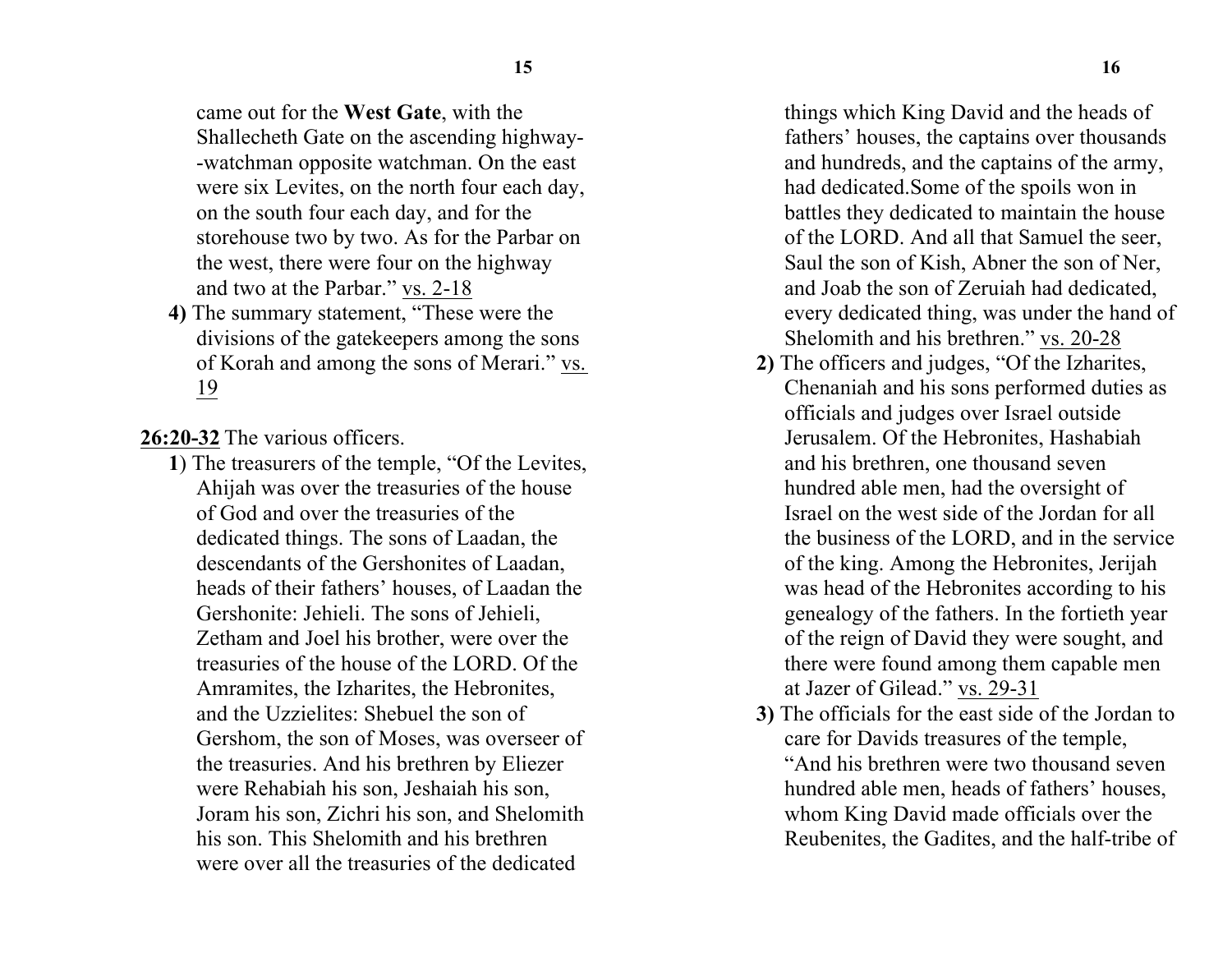came out for the **West Gate**, with the Shallecheth Gate on the ascending highway- -watchman opposite watchman. On the east were six Levites, on the north four each day, on the south four each day, and for the storehouse two by two. As for the Parbar on the west, there were four on the highway and two at the Parbar." vs. 2-18

**4)** The summary statement, "These were the divisions of the gatekeepers among the sons of Korah and among the sons of Merari." vs. 19

**26:20-32** The various officers.

**1**) The treasurers of the temple, "Of the Levites, Ahijah was over the treasuries of the house of God and over the treasuries of the dedicated things. The sons of Laadan, the descendants of the Gershonites of Laadan, heads of their fathers' houses, of Laadan the Gershonite: Jehieli. The sons of Jehieli, Zetham and Joel his brother, were over the treasuries of the house of the LORD. Of the Amramites, the Izharites, the Hebronites, and the Uzzielites: Shebuel the son of Gershom, the son of Moses, was overseer of the treasuries. And his brethren by Eliezer were Rehabiah his son, Jeshaiah his son, Joram his son, Zichri his son, and Shelomith his son. This Shelomith and his brethren were over all the treasuries of the dedicated

things which King David and the heads of fathers' houses, the captains over thousands and hundreds, and the captains of the army, had dedicated.Some of the spoils won in battles they dedicated to maintain the house of the LORD. And all that Samuel the seer, Saul the son of Kish, Abner the son of Ner, and Joab the son of Zeruiah had dedicated, every dedicated thing, was under the hand of Shelomith and his brethren." vs. 20-28

- **2)** The officers and judges, "Of the Izharites, Chenaniah and his sons performed duties as officials and judges over Israel outside Jerusalem. Of the Hebronites, Hashabiah and his brethren, one thousand seven hundred able men, had the oversight of Israel on the west side of the Jordan for all the business of the LORD, and in the service of the king. Among the Hebronites, Jerijah was head of the Hebronites according to his genealogy of the fathers. In the fortieth year of the reign of David they were sought, and there were found among them capable men at Jazer of Gilead." vs. 29-31
- **3)** The officials for the east side of the Jordan to care for Davids treasures of the temple, "And his brethren were two thousand seven hundred able men, heads of fathers' houses, whom King David made officials over the Reubenites, the Gadites, and the half-tribe of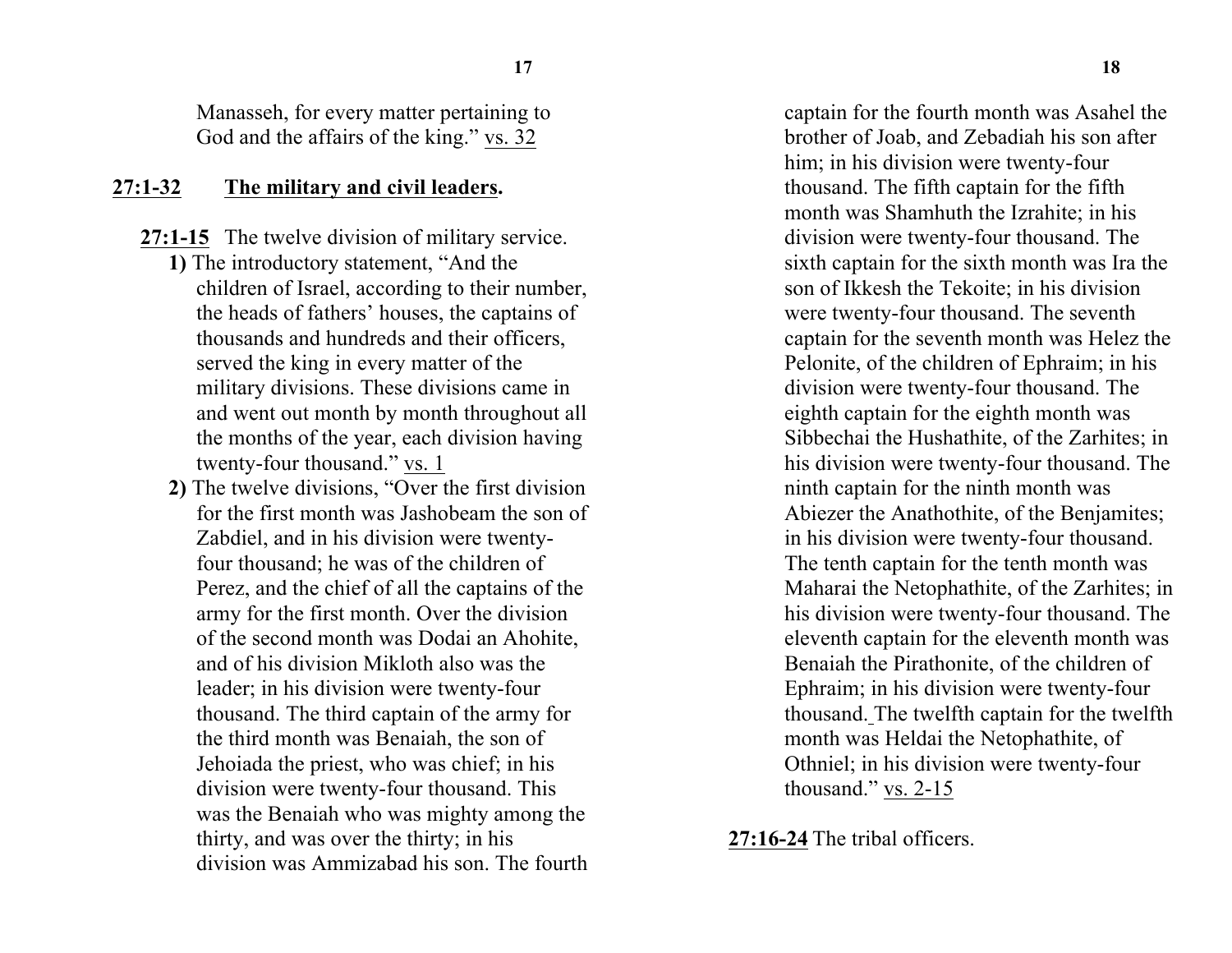Manasseh, for every matter pertaining to God and the affairs of the king." vs. 32

#### **27:1-32 The military and civil leaders.**

- **27:1-15** The twelve division of military service.
	- **1)** The introductory statement, "And the children of Israel, according to their number, the heads of fathers' houses, the captains of thousands and hundreds and their officers, served the king in every matter of the military divisions. These divisions came in and went out month by month throughout all the months of the year, each division having twenty-four thousand." vs. 1
	- **2)** The twelve divisions, "Over the first division for the first month was Jashobeam the son of Zabdiel, and in his division were twentyfour thousand; he was of the children of Perez, and the chief of all the captains of the army for the first month. Over the division of the second month was Dodai an Ahohite, and of his division Mikloth also was the leader; in his division were twenty-four thousand. The third captain of the army for the third month was Benaiah, the son of Jehoiada the priest, who was chief; in his division were twenty-four thousand. This was the Benaiah who was mighty among the thirty, and was over the thirty; in his division was Ammizabad his son. The fourth

captain for the fourth month was Asahel the brother of Joab, and Zebadiah his son after him; in his division were twenty-four thousand. The fifth captain for the fifth month was Shamhuth the Izrahite; in his division were twenty-four thousand. The sixth captain for the sixth month was Ira the son of Ikkesh the Tekoite; in his division were twenty-four thousand. The seventh captain for the seventh month was Helez the Pelonite, of the children of Ephraim; in his division were twenty-four thousand. The eighth captain for the eighth month was Sibbechai the Hushathite, of the Zarhites; in his division were twenty-four thousand. The ninth captain for the ninth month was Abiezer the Anathothite, of the Benjamites; in his division were twenty-four thousand. The tenth captain for the tenth month was Maharai the Netophathite, of the Zarhites; in his division were twenty-four thousand. The eleventh captain for the eleventh month was Benaiah the Pirathonite, of the children of Ephraim; in his division were twenty-four thousand. The twelfth captain for the twelfth month was Heldai the Netophathite, of Othniel; in his division were twenty-four thousand." vs. 2-15

**27:16-24** The tribal officers.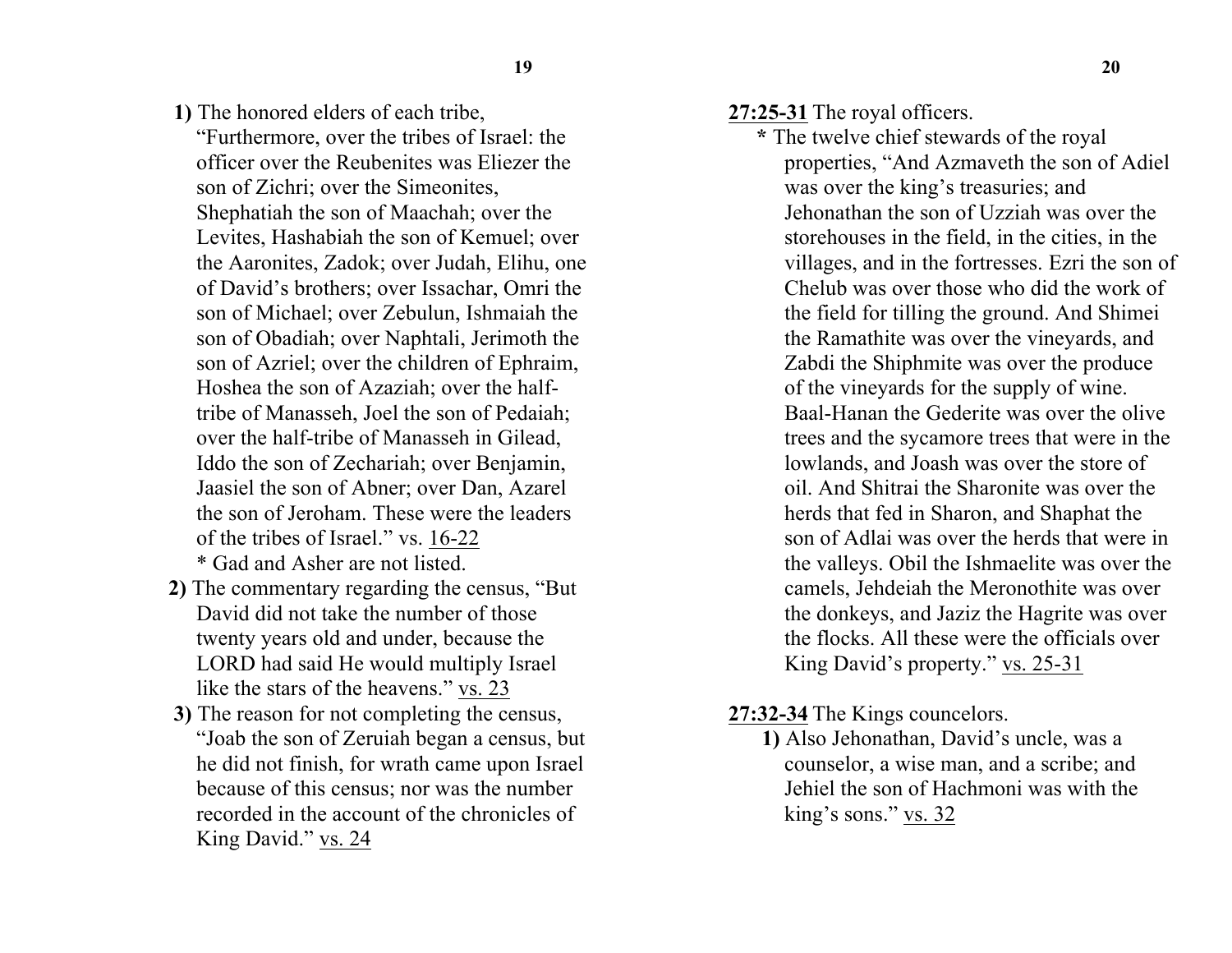**1)** The honored elders of each tribe,

"Furthermore, over the tribes of Israel: the officer over the Reubenites was Eliezer the son of Zichri; over the Simeonites, Shephatiah the son of Maachah; over the Levites, Hashabiah the son of Kemuel; over the Aaronites, Zadok; over Judah, Elihu, one of David's brothers; over Issachar, Omri the son of Michael; over Zebulun, Ishmaiah the son of Obadiah; over Naphtali, Jerimoth the son of Azriel; over the children of Ephraim, Hoshea the son of Azaziah; over the halftribe of Manasseh, Joel the son of Pedaiah; over the half-tribe of Manasseh in Gilead, Iddo the son of Zechariah; over Benjamin, Jaasiel the son of Abner; over Dan, Azarel the son of Jeroham. These were the leaders of the tribes of Israel." vs. 16-22 \* Gad and Asher are not listed.

- **2)** The commentary regarding the census, "But David did not take the number of those twenty years old and under, because the LORD had said He would multiply Israel like the stars of the heavens." vs. 23
- **3)** The reason for not completing the census, "Joab the son of Zeruiah began a census, but he did not finish, for wrath came upon Israel because of this census; nor was the number recorded in the account of the chronicles of King David." vs. 24
- **27:25-31** The royal officers.
	- **\*** The twelve chief stewards of the royal properties, "And Azmaveth the son of Adiel was over the king's treasuries; and Jehonathan the son of Uzziah was over the storehouses in the field, in the cities, in the villages, and in the fortresses. Ezri the son of Chelub was over those who did the work of the field for tilling the ground. And Shimei the Ramathite was over the vineyards, and Zabdi the Shiphmite was over the produce of the vineyards for the supply of wine. Baal-Hanan the Gederite was over the olive trees and the sycamore trees that were in the lowlands, and Joash was over the store of oil. And Shitrai the Sharonite was over the herds that fed in Sharon, and Shaphat the son of Adlai was over the herds that were in the valleys. Obil the Ishmaelite was over the camels, Jehdeiah the Meronothite was over the donkeys, and Jaziz the Hagrite was over the flocks. All these were the officials over King David's property." vs. 25-31
- **27:32-34** The Kings councelors.
	- **1)** Also Jehonathan, David's uncle, was a counselor, a wise man, and a scribe; and Jehiel the son of Hachmoni was with the king's sons." vs. 32